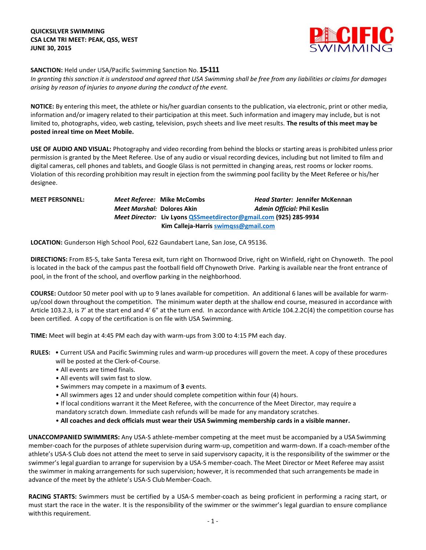

**SANCTION:** Held under USA/Pacific Swimming Sanction No.**15-111**

In granting this sanction it is understood and agreed that USA Swimming shall be free from any liabilities or claims for damages *arising by reason of injuries to anyone during the conduct of the event.*

**NOTICE:** By entering this meet, the athlete or his/her guardian consents to the publication, via electronic, print or other media, information and/or imagery related to their participation at this meet. Such information and imagery may include, but is not limited to, photographs, video, web casting, television, psych sheets and live meet results. **The results of this meet may be posted inreal time on Meet Mobile.**

**USE OF AUDIO AND VISUAL:** Photography and video recording from behind the blocks or starting areas is prohibited unless prior permission is granted by the Meet Referee. Use of any audio or visual recording devices, including but not limited to film and digital cameras, cell phones and tablets, and Google Glass is not permitted in changing areas, rest rooms or locker rooms. Violation of this recording prohibition may result in ejection from the swimming pool facility by the Meet Referee or his/her designee.

**MEET PERSONNEL:** *Meet Referee:* **Mike McCombs** *Head Starter:* **Jennifer McKennan** *Meet Marshal:* **Dolores Akin** *Admin Official:* **Phil Keslin**  *Meet Director:* **Liv Lyon[s QSSmeetdirector@gmail.com](mailto:QSSmeetdirector@gmail.com) (925) 285-9934** **Kim Calleja-Harris [swimqss@gmail.com](mailto:swimqss@gmail.com)**

**LOCATION:** Gunderson High School Pool, 622 Gaundabert Lane, San Jose, CA 95136.

**DIRECTIONS:** From 85-S, take Santa Teresa exit, turn right on Thornwood Drive, right on Winfield, right on Chynoweth. The pool is located in the back of the campus past the football field off Chynoweth Drive. Parking is available near the front entrance of pool, in the front of the school, and overflow parking in the neighborhood.

**COURSE:** Outdoor 50 meter pool with up to 9 lanes available for competition.An additional 6 lanes will be available for warmup/cool down throughout the competition. The minimum water depth at the shallow end course, measured in accordance with Article 103.2.3, is 7' at the start end and 4' 6" at the turn end. In accordance with Article 104.2.2C(4) the competition course has been certified. A copy of the certification is on file with USA Swimming.

**TIME:** Meet will begin at 4:45 PM each day with warm-ups from 3:00 to 4:15 PM each day.

- **RULES:**  Current USA and Pacific Swimming rules and warm-up procedures will govern the meet. A copy of these procedures will be posted at the Clerk-of-Course.
	- All events are timed finals.
	- All events will swim fast to slow.
	- Swimmers may compete in a maximum of **3** events.
	- All swimmers ages 12 and under should complete competition within four (4) hours.
	- If local conditions warrant it the Meet Referee, with the concurrence of the Meet Director, may require a mandatory scratch down. Immediate cash refunds will be made for any mandatory scratches.
	- **All coaches and deck officials must wear their USA Swimming membership cards in a visible manner.**

**UNACCOMPANIED SWIMMERS:** Any USA-S athlete-member competing at the meet must be accompanied by a USASwimming member-coach for the purposes of athlete supervision during warm-up, competition and warm-down. If a coach-member ofthe athlete's USA-S Club does not attend the meet to serve in said supervisory capacity, it is the responsibility of the swimmer or the swimmer's legal guardian to arrange for supervision by a USA-S member-coach. The Meet Director or Meet Referee may assist the swimmer in making arrangements for such supervision; however, it is recommended that such arrangements be made in advance of the meet by the athlete's USA-S Club Member-Coach.

**RACING STARTS:** Swimmers must be certified by a USA-S member-coach as being proficient in performing a racing start, or must start the race in the water. It is the responsibility of the swimmer or the swimmer's legal guardian to ensure compliance withthis requirement.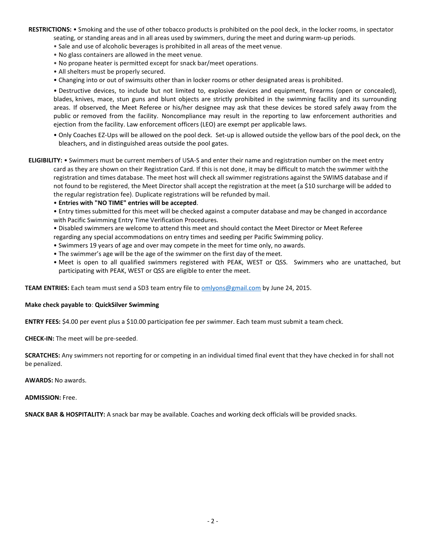**RESTRICTIONS:** • Smoking and the use of other tobacco products is prohibited on the pool deck, in the locker rooms, in spectator seating, or standing areas and in all areas used by swimmers, during the meet and during warm-up periods.

- Sale and use of alcoholic beverages is prohibited in all areas of the meet venue.
- No glass containers are allowed in the meet venue.
- No propane heater is permitted except for snack bar/meet operations.
- All shelters must be properly secured.
- Changing into or out of swimsuits other than in locker rooms or other designated areas is prohibited.

• Destructive devices, to include but not limited to, explosive devices and equipment, firearms (open or concealed), blades, knives, mace, stun guns and blunt objects are strictly prohibited in the swimming facility and its surrounding areas. If observed, the Meet Referee or his/her designee may ask that these devices be stored safely away from the public or removed from the facility. Noncompliance may result in the reporting to law enforcement authorities and ejection from the facility. Law enforcement officers (LEO) are exempt per applicable laws.

- Only Coaches EZ-Ups will be allowed on the pool deck. Set-up is allowed outside the yellow bars of the pool deck, on the bleachers, and in distinguished areas outside the pool gates.
- **ELIGIBILITY:** Swimmers must be current members of USA-S and enter their name and registration number on the meet entry card as they are shown on their Registration Card. If this is not done, it may be difficult to match the swimmer withthe registration and times database. The meet host will check all swimmer registrations against the SWIMS database and if not found to be registered, the Meet Director shall accept the registration at the meet (a \$10 surcharge will be added to the regular registration fee). Duplicate registrations will be refunded bymail.
	- **Entries with "NO TIME" entries will be accepted**.

• Entry times submitted for this meet will be checked against a computer database and may be changed in accordance with Pacific Swimming Entry Time Verification Procedures.

- Disabled swimmers are welcome to attend this meet and should contact the Meet Director or Meet Referee
- regarding any special accommodations on entry times and seeding per Pacific Swimming policy.
- Swimmers 19 years of age and over may compete in the meet for time only, no awards.
- The swimmer's age will be the age of the swimmer on the first day of themeet.
- Meet is open to all qualified swimmers registered with PEAK, WEST or QSS. Swimmers who are unattached, but participating with PEAK, WEST or QSS are eligible to enter the meet.

**TEAM ENTRIES:** Each team must send a SD3 team entry file t[o omlyons@gmail.com](mailto:omlyons@gmail.com) by June 24, 2015.

## **Make check payable to**: **QuickSilver Swimming**

**ENTRY FEES:** \$4.00 per event plus a \$10.00 participation fee per swimmer. Each team must submit a team check.

**CHECK-IN:** The meet will be pre-seeded.

**SCRATCHES:** Any swimmers not reporting for or competing in an individual timed final event that they have checked in for shall not be penalized.

**AWARDS:** No awards.

**ADMISSION:** Free.

**SNACK BAR & HOSPITALITY:** A snack bar may be available. Coaches and working deck officials will be provided snacks.